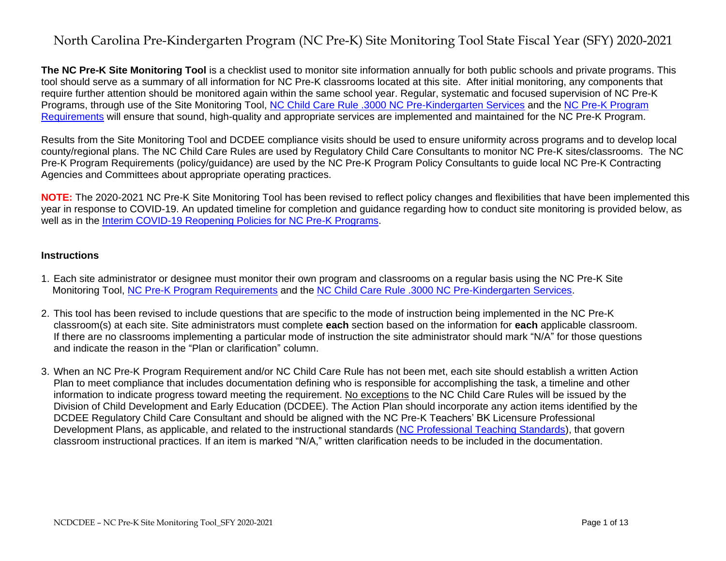**The NC Pre-K Site Monitoring Tool** is a checklist used to monitor site information annually for both public schools and private programs. This tool should serve as a summary of all information for NC Pre-K classrooms located at this site. After initial monitoring, any components that require further attention should be monitored again within the same school year. Regular, systematic and focused supervision of NC Pre-K Programs, through use of the Site Monitoring Tool, [NC Child Care Rule .3000 NC Pre-Kindergarten Services](https://ncchildcare.ncdhhs.gov/Portals/0/documents/pdf/N/NCPre-K_rule3000October2017.pdf) and the [NC Pre-K Program](https://ncchildcare.ncdhhs.gov/Portals/0/documents/pdf/2/2020-2021_NC_Pre-K_Program_Requirements_and_Guidance_September2020.pdf?ver=2020-09-29-114939-613)  [Requirements](https://ncchildcare.ncdhhs.gov/Portals/0/documents/pdf/2/2020-2021_NC_Pre-K_Program_Requirements_and_Guidance_September2020.pdf?ver=2020-09-29-114939-613) will ensure that sound, high-quality and appropriate services are implemented and maintained for the NC Pre-K Program.

Results from the Site Monitoring Tool and DCDEE compliance visits should be used to ensure uniformity across programs and to develop local county/regional plans. The NC Child Care Rules are used by Regulatory Child Care Consultants to monitor NC Pre-K sites/classrooms. The NC Pre-K Program Requirements (policy/guidance) are used by the NC Pre-K Program Policy Consultants to guide local NC Pre-K Contracting Agencies and Committees about appropriate operating practices.

**NOTE:** The 2020-2021 NC Pre-K Site Monitoring Tool has been revised to reflect policy changes and flexibilities that have been implemented this year in response to COVID-19. An updated timeline for completion and guidance regarding how to conduct site monitoring is provided below, as well as in the [Interim COVID-19 Reopening Policies for NC Pre-K Programs.](https://ncchildcare.ncdhhs.gov/Portals/0/documents/pdf/C/COVID-19_Interim_Reopening_Policies_for_NC_Pre-K_Programs.pdf?ver=2020-08-31-164926-367)

#### **Instructions**

- 1. Each site administrator or designee must monitor their own program and classrooms on a regular basis using the NC Pre-K Site Monitoring Tool, [NC Pre-K Program Requirements](https://ncchildcare.ncdhhs.gov/Portals/0/documents/pdf/2/2020-2021_NC_Pre-K_Program_Requirements_and_Guidance_September2020.pdf?ver=2020-09-29-114939-613) and the [NC Child Care Rule .3000 NC Pre-Kindergarten Services.](https://ncchildcare.ncdhhs.gov/Portals/0/documents/pdf/N/NCPre-K_rule3000October2017.pdf)
- 2. This tool has been revised to include questions that are specific to the mode of instruction being implemented in the NC Pre-K classroom(s) at each site. Site administrators must complete **each** section based on the information for **each** applicable classroom. If there are no classrooms implementing a particular mode of instruction the site administrator should mark "N/A" for those questions and indicate the reason in the "Plan or clarification" column.
- 3. When an NC Pre-K Program Requirement and/or NC Child Care Rule has not been met, each site should establish a written Action Plan to meet compliance that includes documentation defining who is responsible for accomplishing the task, a timeline and other information to indicate progress toward meeting the requirement. No exceptions to the NC Child Care Rules will be issued by the Division of Child Development and Early Education (DCDEE). The Action Plan should incorporate any action items identified by the DCDEE Regulatory Child Care Consultant and should be aligned with the NC Pre-K Teachers' BK Licensure Professional Development Plans, as applicable, and related to the instructional standards [\(NC Professional Teaching Standards\)](https://files.nc.gov/dpi/north_carolina_professional_teaching_standards_2.pdf), that govern classroom instructional practices. If an item is marked "N/A," written clarification needs to be included in the documentation.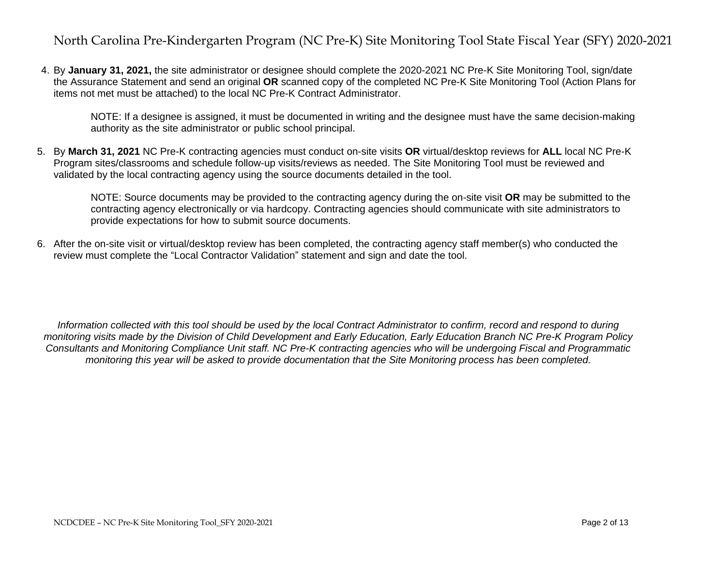4. By **January 31, 2021,** the site administrator or designee should complete the 2020-2021 NC Pre-K Site Monitoring Tool, sign/date the Assurance Statement and send an original **OR** scanned copy of the completed NC Pre-K Site Monitoring Tool (Action Plans for items not met must be attached) to the local NC Pre-K Contract Administrator.

NOTE: If a designee is assigned, it must be documented in writing and the designee must have the same decision-making authority as the site administrator or public school principal.

5. By **March 31, 2021** NC Pre-K contracting agencies must conduct on-site visits **OR** virtual/desktop reviews for **ALL** local NC Pre-K Program sites/classrooms and schedule follow-up visits/reviews as needed. The Site Monitoring Tool must be reviewed and validated by the local contracting agency using the source documents detailed in the tool.

NOTE: Source documents may be provided to the contracting agency during the on-site visit **OR** may be submitted to the contracting agency electronically or via hardcopy. Contracting agencies should communicate with site administrators to provide expectations for how to submit source documents.

6. After the on-site visit or virtual/desktop review has been completed, the contracting agency staff member(s) who conducted the review must complete the "Local Contractor Validation" statement and sign and date the tool.

*Information collected with this tool should be used by the local Contract Administrator to confirm, record and respond to during monitoring visits made by the Division of Child Development and Early Education, Early Education Branch NC Pre-K Program Policy Consultants and Monitoring Compliance Unit staff. NC Pre-K contracting agencies who will be undergoing Fiscal and Programmatic monitoring this year will be asked to provide documentation that the Site Monitoring process has been completed.*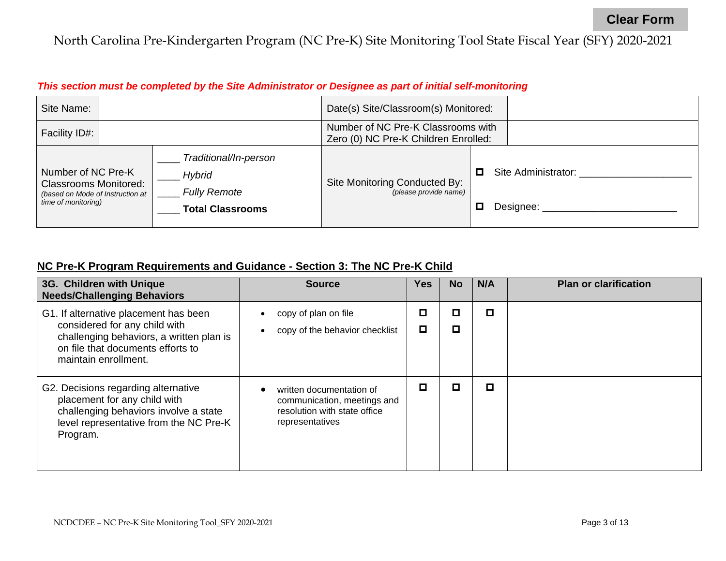### *This section must be completed by the Site Administrator or Designee as part of initial self-monitoring*

| Site Name:                                                                                                    |  |                                                                                          | Date(s) Site/Classroom(s) Monitored:                                       |                                       |  |
|---------------------------------------------------------------------------------------------------------------|--|------------------------------------------------------------------------------------------|----------------------------------------------------------------------------|---------------------------------------|--|
| Facility ID#:                                                                                                 |  |                                                                                          | Number of NC Pre-K Classrooms with<br>Zero (0) NC Pre-K Children Enrolled: |                                       |  |
| Number of NC Pre-K<br><b>Classrooms Monitored:</b><br>(based on Mode of Instruction at<br>time of monitoring) |  | Traditional/In-person<br><b>Hybrid</b><br><b>Fully Remote</b><br><b>Total Classrooms</b> | Site Monitoring Conducted By:<br>(please provide name)                     | Site Administrator:<br>0<br>Designee: |  |

### **NC Pre-K Program Requirements and Guidance - Section 3: The NC Pre-K Child**

| 3G. Children with Unique<br><b>Needs/Challenging Behaviors</b>                                                                                                                  | <b>Source</b>                                                                                              | Yes    | <b>No</b> | N/A | <b>Plan or clarification</b> |
|---------------------------------------------------------------------------------------------------------------------------------------------------------------------------------|------------------------------------------------------------------------------------------------------------|--------|-----------|-----|------------------------------|
| G1. If alternative placement has been<br>considered for any child with<br>challenging behaviors, a written plan is<br>on file that documents efforts to<br>maintain enrollment. | copy of plan on file<br>copy of the behavior checklist                                                     | О<br>О | □<br>О    | О   |                              |
| G2. Decisions regarding alternative<br>placement for any child with<br>challenging behaviors involve a state<br>level representative from the NC Pre-K<br>Program.              | written documentation of<br>communication, meetings and<br>resolution with state office<br>representatives | О      | О         | o   |                              |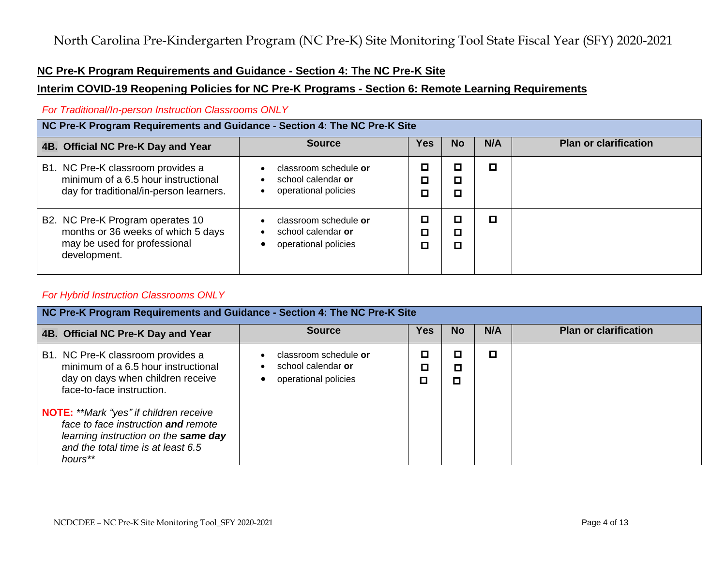### **NC Pre-K Program Requirements and Guidance - Section 4: The NC Pre-K Site**

#### **Interim COVID-19 Reopening Policies for NC Pre-K Programs - Section 6: Remote Learning Requirements**

#### *For Traditional/In-person Instruction Classrooms ONLY*

| NC Pre-K Program Requirements and Guidance - Section 4: The NC Pre-K Site                                              |                                                                                                            |                  |             |     |                              |  |  |
|------------------------------------------------------------------------------------------------------------------------|------------------------------------------------------------------------------------------------------------|------------------|-------------|-----|------------------------------|--|--|
| 4B. Official NC Pre-K Day and Year                                                                                     | <b>Source</b>                                                                                              | <b>Yes</b>       | <b>No</b>   | N/A | <b>Plan or clarification</b> |  |  |
| B1. NC Pre-K classroom provides a<br>minimum of a 6.5 hour instructional<br>day for traditional/in-person learners.    | classroom schedule or<br>$\bullet$<br>school calendar or<br>$\bullet$<br>operational policies<br>٠         | ◻<br>$\Box$<br>О | О<br>◘<br>О | О   |                              |  |  |
| B2. NC Pre-K Program operates 10<br>months or 36 weeks of which 5 days<br>may be used for professional<br>development. | classroom schedule or<br>$\bullet$<br>school calendar or<br>$\bullet$<br>operational policies<br>$\bullet$ | ◻<br>О<br>◻      | О<br>◘      | о   |                              |  |  |

#### *For Hybrid Instruction Classrooms ONLY*

| NC Pre-K Program Requirements and Guidance - Section 4: The NC Pre-K Site                                                                                                     |                                                                     |             |             |     |                              |  |  |  |
|-------------------------------------------------------------------------------------------------------------------------------------------------------------------------------|---------------------------------------------------------------------|-------------|-------------|-----|------------------------------|--|--|--|
| 4B. Official NC Pre-K Day and Year                                                                                                                                            | <b>Source</b>                                                       | <b>Yes</b>  | No          | N/A | <b>Plan or clarification</b> |  |  |  |
| B1. NC Pre-K classroom provides a<br>minimum of a 6.5 hour instructional<br>day on days when children receive<br>face-to-face instruction.                                    | classroom schedule or<br>school calendar or<br>operational policies | □<br>П<br>О | О<br>О<br>□ | о   |                              |  |  |  |
| <b>NOTE:</b> **Mark "yes" if children receive<br>face to face instruction and remote<br>learning instruction on the same day<br>and the total time is at least 6.5<br>hours** |                                                                     |             |             |     |                              |  |  |  |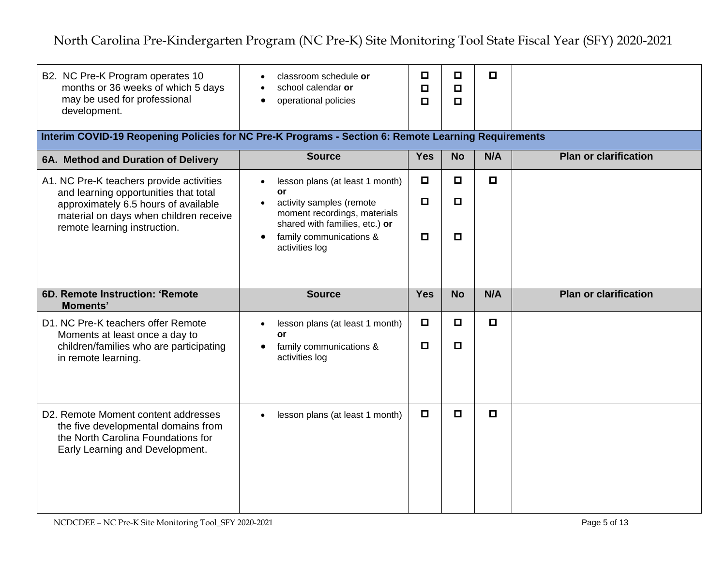| B2. NC Pre-K Program operates 10<br>months or 36 weeks of which 5 days<br>may be used for professional<br>development.                                                                              | classroom schedule or<br>$\bullet$<br>school calendar or<br>operational policies<br>$\bullet$                                                                                                              | $\Box$<br>$\Box$<br>$\Box$ | $\Box$<br>$\Box$<br>$\Box$ | $\Box$ |                              |
|-----------------------------------------------------------------------------------------------------------------------------------------------------------------------------------------------------|------------------------------------------------------------------------------------------------------------------------------------------------------------------------------------------------------------|----------------------------|----------------------------|--------|------------------------------|
| Interim COVID-19 Reopening Policies for NC Pre-K Programs - Section 6: Remote Learning Requirements                                                                                                 |                                                                                                                                                                                                            |                            |                            |        |                              |
| 6A. Method and Duration of Delivery                                                                                                                                                                 | <b>Source</b>                                                                                                                                                                                              | <b>Yes</b>                 | <b>No</b>                  | N/A    | <b>Plan or clarification</b> |
| A1. NC Pre-K teachers provide activities<br>and learning opportunities that total<br>approximately 6.5 hours of available<br>material on days when children receive<br>remote learning instruction. | lesson plans (at least 1 month)<br>$\bullet$<br>or<br>activity samples (remote<br>$\bullet$<br>moment recordings, materials<br>shared with families, etc.) or<br>family communications &<br>activities log | $\Box$<br>о<br>$\Box$      | 0<br>О<br>$\Box$           | $\Box$ |                              |
| 6D. Remote Instruction: 'Remote<br><b>Moments'</b>                                                                                                                                                  | <b>Source</b>                                                                                                                                                                                              | <b>Yes</b>                 | <b>No</b>                  | N/A    | <b>Plan or clarification</b> |
| D1. NC Pre-K teachers offer Remote<br>Moments at least once a day to<br>children/families who are participating<br>in remote learning.                                                              | lesson plans (at least 1 month)<br>$\bullet$<br>or<br>family communications &<br>activities log                                                                                                            | $\Box$<br>$\Box$           | $\Box$<br>$\Box$           | $\Box$ |                              |
| D2. Remote Moment content addresses<br>the five developmental domains from<br>the North Carolina Foundations for<br>Early Learning and Development.                                                 | lesson plans (at least 1 month)<br>$\bullet$                                                                                                                                                               | О                          | $\Box$                     | $\Box$ |                              |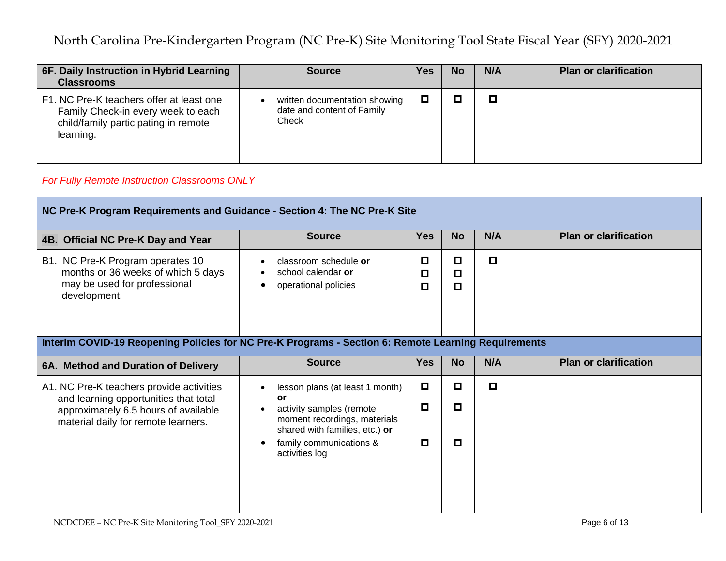| 6F. Daily Instruction in Hybrid Learning<br><b>Classrooms</b>                                                                       | <b>Source</b>                                                          | Yes | No | N/A | <b>Plan or clarification</b> |
|-------------------------------------------------------------------------------------------------------------------------------------|------------------------------------------------------------------------|-----|----|-----|------------------------------|
| F1. NC Pre-K teachers offer at least one<br>Family Check-in every week to each<br>child/family participating in remote<br>learning. | written documentation showing  <br>date and content of Family<br>Check | O   |    |     |                              |

### *For Fully Remote Instruction Classrooms ONLY*

| NC Pre-K Program Requirements and Guidance - Section 4: The NC Pre-K Site                                                                                        |                                                                                                                                                                                                                                |                            |                       |     |                              |  |  |
|------------------------------------------------------------------------------------------------------------------------------------------------------------------|--------------------------------------------------------------------------------------------------------------------------------------------------------------------------------------------------------------------------------|----------------------------|-----------------------|-----|------------------------------|--|--|
| 4B. Official NC Pre-K Day and Year                                                                                                                               | <b>Source</b>                                                                                                                                                                                                                  | <b>Yes</b>                 | <b>No</b>             | N/A | <b>Plan or clarification</b> |  |  |
| B1. NC Pre-K Program operates 10<br>months or 36 weeks of which 5 days<br>may be used for professional<br>development.                                           | classroom schedule or<br>school calendar or<br>operational policies<br>$\bullet$                                                                                                                                               | ◘<br>О<br>О                | О<br>О<br>П           | П   |                              |  |  |
| Interim COVID-19 Reopening Policies for NC Pre-K Programs - Section 6: Remote Learning Requirements                                                              |                                                                                                                                                                                                                                |                            |                       |     |                              |  |  |
| 6A. Method and Duration of Delivery                                                                                                                              | <b>Source</b>                                                                                                                                                                                                                  | <b>Yes</b>                 | <b>No</b>             | N/A | <b>Plan or clarification</b> |  |  |
| A1. NC Pre-K teachers provide activities<br>and learning opportunities that total<br>approximately 6.5 hours of available<br>material daily for remote learners. | lesson plans (at least 1 month)<br>$\bullet$<br><b>or</b><br>activity samples (remote<br>$\bullet$<br>moment recordings, materials<br>shared with families, etc.) or<br>family communications &<br>$\bullet$<br>activities log | $\Box$<br>$\Box$<br>$\Box$ | П<br>$\Box$<br>$\Box$ | П   |                              |  |  |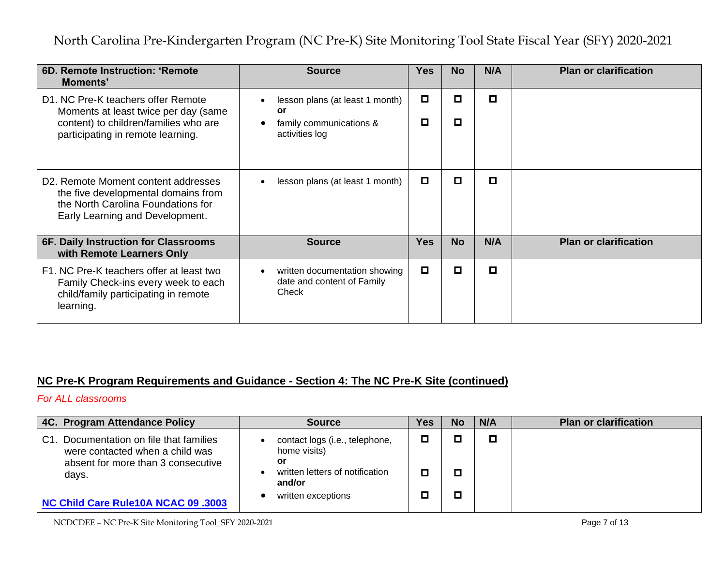| 6D. Remote Instruction: 'Remote<br>Moments'                                                                                                                      | <b>Source</b>                                                                                          | <b>Yes</b> | <b>No</b> | N/A | <b>Plan or clarification</b> |
|------------------------------------------------------------------------------------------------------------------------------------------------------------------|--------------------------------------------------------------------------------------------------------|------------|-----------|-----|------------------------------|
| D1. NC Pre-K teachers offer Remote<br>Moments at least twice per day (same<br>content) to children/families who are<br>participating in remote learning.         | lesson plans (at least 1 month)<br><b>or</b><br>family communications &<br>$\bullet$<br>activities log | ◻<br>О     | О<br>о    | О   |                              |
| D <sub>2</sub> . Remote Moment content addresses<br>the five developmental domains from<br>the North Carolina Foundations for<br>Early Learning and Development. | lesson plans (at least 1 month)<br>$\bullet$                                                           | $\Box$     | О         | ◘   |                              |
| 6F. Daily Instruction for Classrooms<br>with Remote Learners Only                                                                                                | <b>Source</b>                                                                                          | <b>Yes</b> | <b>No</b> | N/A | <b>Plan or clarification</b> |
| F1. NC Pre-K teachers offer at least two<br>Family Check-ins every week to each<br>child/family participating in remote<br>learning.                             | written documentation showing<br>$\bullet$<br>date and content of Family<br>Check                      | $\Box$     | О         | ◘   |                              |

### **NC Pre-K Program Requirements and Guidance - Section 4: The NC Pre-K Site (continued)**

#### *For ALL classrooms*

| 4C. Program Attendance Policy                                                                                                | <b>Source</b>                                                                                     | <b>Yes</b> | <b>No</b> | N/A | <b>Plan or clarification</b> |
|------------------------------------------------------------------------------------------------------------------------------|---------------------------------------------------------------------------------------------------|------------|-----------|-----|------------------------------|
| Documentation on file that families<br>C1.<br>were contacted when a child was<br>absent for more than 3 consecutive<br>days. | contact logs (i.e., telephone,<br>home visits)<br>or<br>written letters of notification<br>and/or | ◻<br>◻     |           |     |                              |
| NC Child Care Rule10A NCAC 09 .3003                                                                                          | written exceptions                                                                                | Ш          |           |     |                              |

NCDCDEE – NC Pre-K Site Monitoring Tool\_SFY 2020-2021 **Page 7 of 13**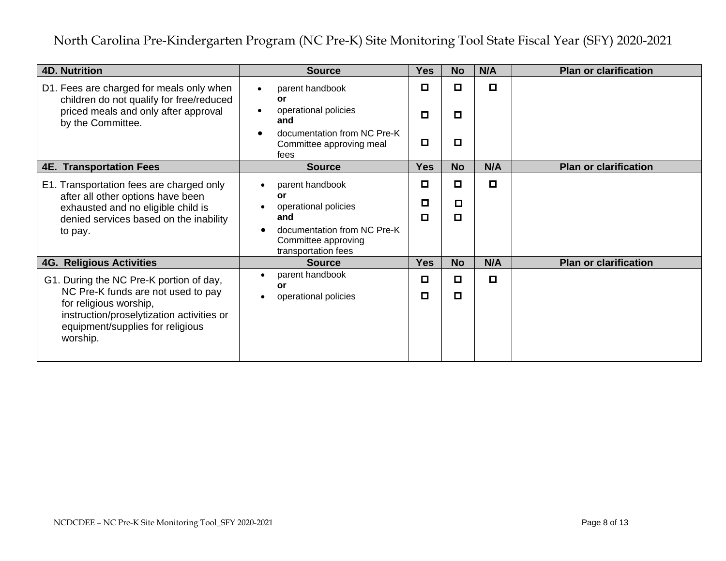| <b>4D. Nutrition</b>                                                                                                                                                                                 | <b>Source</b>                                                                                                                                               | <b>Yes</b>       | <b>No</b>        | N/A    | <b>Plan or clarification</b> |
|------------------------------------------------------------------------------------------------------------------------------------------------------------------------------------------------------|-------------------------------------------------------------------------------------------------------------------------------------------------------------|------------------|------------------|--------|------------------------------|
| D1. Fees are charged for meals only when<br>children do not qualify for free/reduced<br>priced meals and only after approval<br>by the Committee.                                                    | parent handbook<br>or<br>operational policies<br>and<br>documentation from NC Pre-K<br>Committee approving meal<br>fees                                     | ◻<br>$\Box$<br>О | o<br>$\Box$<br>О | $\Box$ |                              |
| <b>4E. Transportation Fees</b>                                                                                                                                                                       | <b>Source</b>                                                                                                                                               | <b>Yes</b>       | <b>No</b>        | N/A    | <b>Plan or clarification</b> |
| E1. Transportation fees are charged only<br>after all other options have been<br>exhausted and no eligible child is<br>denied services based on the inability<br>to pay.                             | parent handbook<br>$\bullet$<br>or<br>operational policies<br>and<br>documentation from NC Pre-K<br>$\bullet$<br>Committee approving<br>transportation fees | $\Box$<br>□<br>О | О<br>o<br>$\Box$ | $\Box$ |                              |
| <b>4G. Religious Activities</b>                                                                                                                                                                      | <b>Source</b>                                                                                                                                               | <b>Yes</b>       | <b>No</b>        | N/A    | <b>Plan or clarification</b> |
| G1. During the NC Pre-K portion of day,<br>NC Pre-K funds are not used to pay<br>for religious worship,<br>instruction/proselytization activities or<br>equipment/supplies for religious<br>worship. | parent handbook<br>$\bullet$<br>or<br>operational policies<br>$\bullet$                                                                                     | ◻<br>◻           | О<br>$\Box$      | $\Box$ |                              |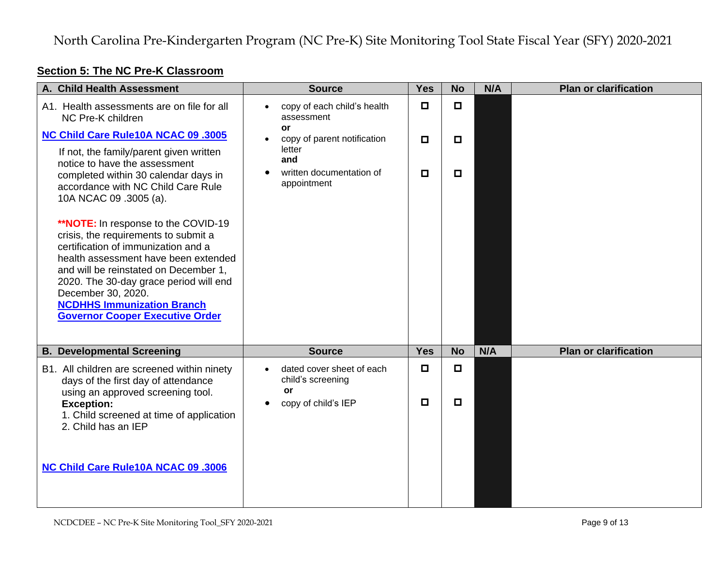## **Section 5: The NC Pre-K Classroom**

| A. Child Health Assessment                                                                                                                                                                                                                                                                                                                                | <b>Source</b>                                            | <b>Yes</b> | <b>No</b> | N/A | <b>Plan or clarification</b> |
|-----------------------------------------------------------------------------------------------------------------------------------------------------------------------------------------------------------------------------------------------------------------------------------------------------------------------------------------------------------|----------------------------------------------------------|------------|-----------|-----|------------------------------|
| A1. Health assessments are on file for all<br>NC Pre-K children                                                                                                                                                                                                                                                                                           | copy of each child's health<br>assessment<br><b>or</b>   | $\Box$     | $\Box$    |     |                              |
| NC Child Care Rule10A NCAC 09 .3005                                                                                                                                                                                                                                                                                                                       | copy of parent notification                              | $\Box$     | $\Box$    |     |                              |
| If not, the family/parent given written<br>notice to have the assessment<br>completed within 30 calendar days in<br>accordance with NC Child Care Rule<br>10A NCAC 09 .3005 (a).                                                                                                                                                                          | letter<br>and<br>written documentation of<br>appointment | О          | О         |     |                              |
| <b>**NOTE:</b> In response to the COVID-19<br>crisis, the requirements to submit a<br>certification of immunization and a<br>health assessment have been extended<br>and will be reinstated on December 1,<br>2020. The 30-day grace period will end<br>December 30, 2020.<br><b>NCDHHS Immunization Branch</b><br><b>Governor Cooper Executive Order</b> |                                                          |            |           |     |                              |
| <b>B. Developmental Screening</b>                                                                                                                                                                                                                                                                                                                         | <b>Source</b>                                            | <b>Yes</b> | <b>No</b> | N/A | <b>Plan or clarification</b> |
| B1. All children are screened within ninety<br>days of the first day of attendance<br>using an approved screening tool.                                                                                                                                                                                                                                   | dated cover sheet of each<br>child's screening<br>or     | $\Box$     | $\Box$    |     |                              |
| <b>Exception:</b><br>1. Child screened at time of application<br>2. Child has an IEP                                                                                                                                                                                                                                                                      | copy of child's IEP                                      | О          | О         |     |                              |
| <b>NC Child Care Rule10A NCAC 09 .3006</b>                                                                                                                                                                                                                                                                                                                |                                                          |            |           |     |                              |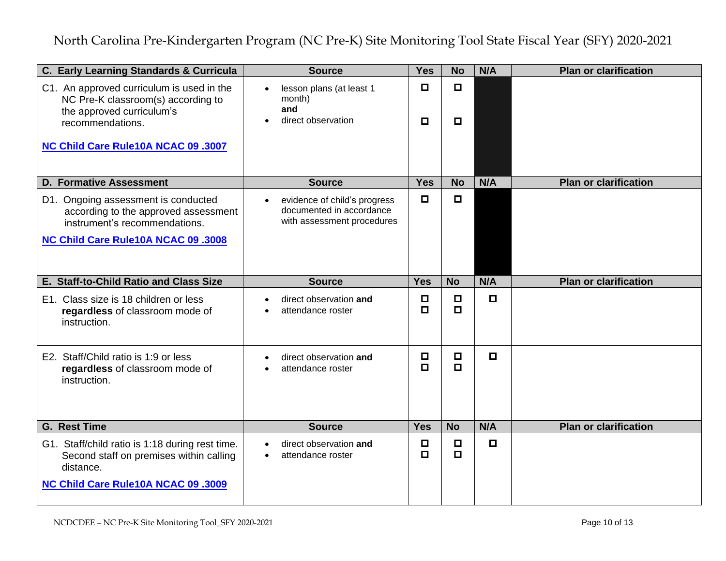| C. Early Learning Standards & Curricula                                                                                                                                 | <b>Source</b>                                                                          | <b>Yes</b>       | <b>No</b>        | N/A    | <b>Plan or clarification</b> |
|-------------------------------------------------------------------------------------------------------------------------------------------------------------------------|----------------------------------------------------------------------------------------|------------------|------------------|--------|------------------------------|
| C1. An approved curriculum is used in the<br>NC Pre-K classroom(s) according to<br>the approved curriculum's<br>recommendations.<br>NC Child Care Rule10A NCAC 09 .3007 | lesson plans (at least 1<br>month)<br>and<br>direct observation                        | $\Box$<br>$\Box$ | $\Box$<br>$\Box$ |        |                              |
| <b>D. Formative Assessment</b>                                                                                                                                          | <b>Source</b>                                                                          | <b>Yes</b>       | <b>No</b>        | N/A    | <b>Plan or clarification</b> |
| D1. Ongoing assessment is conducted<br>according to the approved assessment<br>instrument's recommendations.<br><b>NC Child Care Rule10A NCAC 09 .3008</b>              | evidence of child's progress<br>documented in accordance<br>with assessment procedures | $\Box$           | $\Box$           |        |                              |
| E. Staff-to-Child Ratio and Class Size                                                                                                                                  | <b>Source</b>                                                                          | <b>Yes</b>       | <b>No</b>        | N/A    | <b>Plan or clarification</b> |
| E1. Class size is 18 children or less<br>regardless of classroom mode of<br>instruction.                                                                                | direct observation and<br>attendance roster                                            | $\Box$<br>$\Box$ | $\Box$<br>$\Box$ | $\Box$ |                              |
| E2. Staff/Child ratio is 1:9 or less<br>regardless of classroom mode of<br>instruction.                                                                                 | direct observation and<br>attendance roster                                            | $\Box$<br>$\Box$ | $\Box$<br>$\Box$ | $\Box$ |                              |
| <b>G. Rest Time</b>                                                                                                                                                     | <b>Source</b>                                                                          | <b>Yes</b>       | <b>No</b>        | N/A    | <b>Plan or clarification</b> |
| G1. Staff/child ratio is 1:18 during rest time.<br>Second staff on premises within calling<br>distance.<br><b>NC Child Care Rule10A NCAC 09 .3009</b>                   | direct observation and<br>attendance roster                                            | $\Box$<br>$\Box$ | $\Box$<br>$\Box$ | $\Box$ |                              |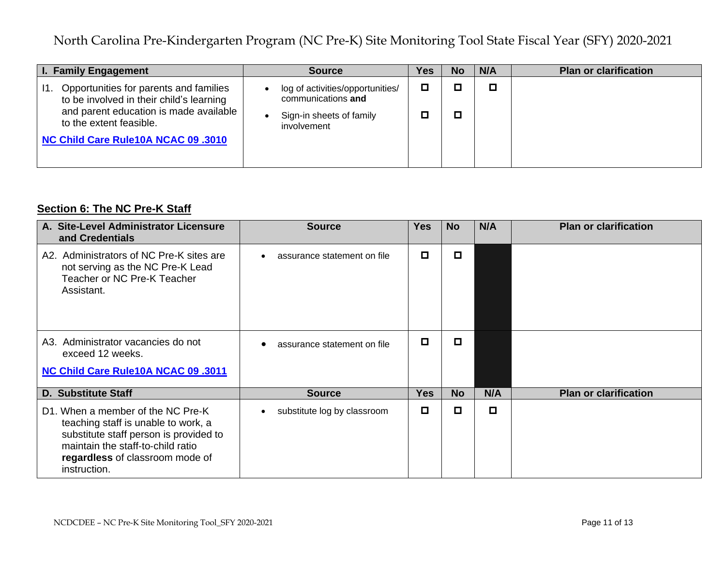| <b>I. Family Engagement</b>                                                                                                                                                                           | <b>Source</b>                                                                                     | Yes | No | N/A | <b>Plan or clarification</b> |
|-------------------------------------------------------------------------------------------------------------------------------------------------------------------------------------------------------|---------------------------------------------------------------------------------------------------|-----|----|-----|------------------------------|
| Opportunities for parents and families<br>11.<br>to be involved in their child's learning<br>and parent education is made available<br>to the extent feasible.<br>NC Child Care Rule10A NCAC 09 .3010 | log of activities/opportunities/<br>communications and<br>Sign-in sheets of family<br>involvement | О   |    | О   |                              |
|                                                                                                                                                                                                       |                                                                                                   |     |    |     |                              |

## **Section 6: The NC Pre-K Staff**

| A. Site-Level Administrator Licensure<br>and Credentials                                                                                                                                                   | <b>Source</b>                            | <b>Yes</b> | <b>No</b> | N/A | <b>Plan or clarification</b> |
|------------------------------------------------------------------------------------------------------------------------------------------------------------------------------------------------------------|------------------------------------------|------------|-----------|-----|------------------------------|
| A2. Administrators of NC Pre-K sites are<br>not serving as the NC Pre-K Lead<br>Teacher or NC Pre-K Teacher<br>Assistant.                                                                                  | assurance statement on file              | О          | О         |     |                              |
| A3. Administrator vacancies do not<br>exceed 12 weeks.<br>NC Child Care Rule10A NCAC 09 .3011                                                                                                              | assurance statement on file              | П          | o         |     |                              |
|                                                                                                                                                                                                            |                                          |            |           |     |                              |
| <b>D. Substitute Staff</b>                                                                                                                                                                                 | <b>Source</b>                            | <b>Yes</b> | <b>No</b> | N/A | <b>Plan or clarification</b> |
| D1. When a member of the NC Pre-K<br>teaching staff is unable to work, a<br>substitute staff person is provided to<br>maintain the staff-to-child ratio<br>regardless of classroom mode of<br>instruction. | substitute log by classroom<br>$\bullet$ | П          | o         | О   |                              |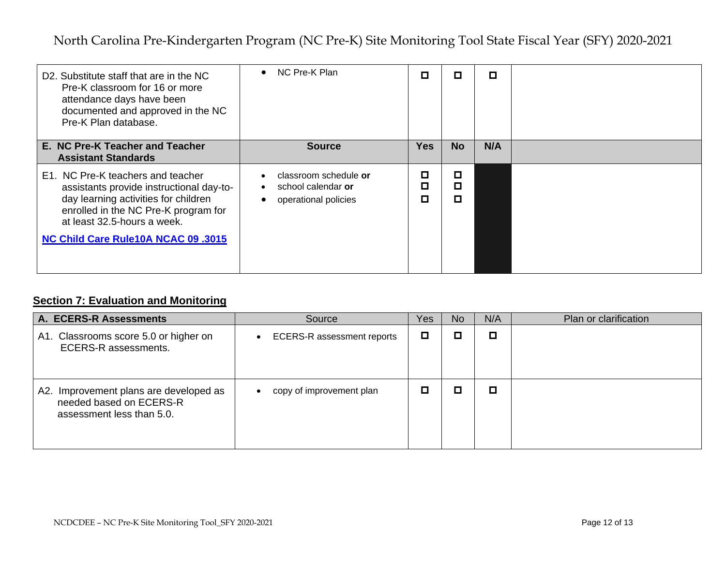| D2. Substitute staff that are in the NC<br>Pre-K classroom for 16 or more<br>attendance days have been<br>documented and approved in the NC<br>Pre-K Plan database.                                                                        | NC Pre-K Plan<br>$\bullet$                                                                                 | П           | О           | О   |  |
|--------------------------------------------------------------------------------------------------------------------------------------------------------------------------------------------------------------------------------------------|------------------------------------------------------------------------------------------------------------|-------------|-------------|-----|--|
| E. NC Pre-K Teacher and Teacher<br><b>Assistant Standards</b>                                                                                                                                                                              | <b>Source</b>                                                                                              | <b>Yes</b>  | <b>No</b>   | N/A |  |
| E1. NC Pre-K teachers and teacher<br>assistants provide instructional day-to-<br>day learning activities for children<br>enrolled in the NC Pre-K program for<br>at least 32.5-hours a week.<br><b>NC Child Care Rule10A NCAC 09 .3015</b> | classroom schedule or<br>$\bullet$<br>school calendar or<br>$\bullet$<br>operational policies<br>$\bullet$ | О<br>О<br>О | о<br>о<br>о |     |  |

## **Section 7: Evaluation and Monitoring**

| A. ECERS-R Assessments                                                                         | Source                            | Yes | <b>No</b> | N/A | Plan or clarification |
|------------------------------------------------------------------------------------------------|-----------------------------------|-----|-----------|-----|-----------------------|
| A1. Classrooms score 5.0 or higher on<br><b>ECERS-R</b> assessments.                           | <b>ECERS-R</b> assessment reports | О   |           | о   |                       |
| A2. Improvement plans are developed as<br>needed based on ECERS-R<br>assessment less than 5.0. | copy of improvement plan          | □   |           | о   |                       |